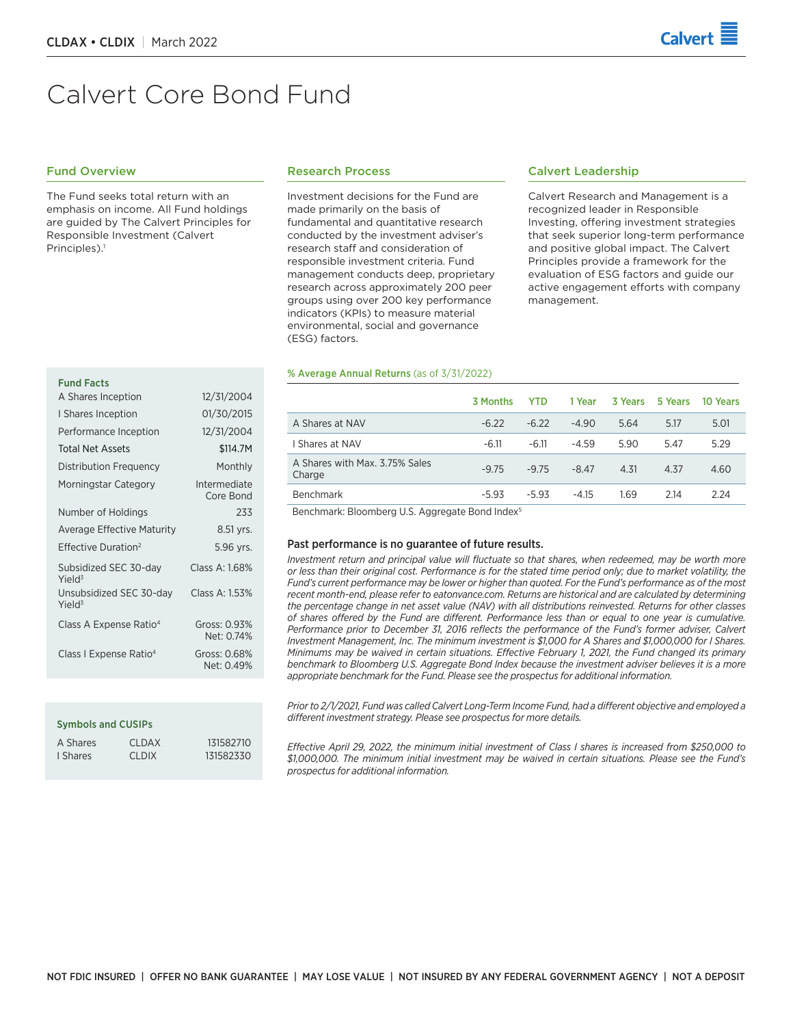# Calvert Core Bond Fund

# Fund Overview

The Fund seeks total return with an emphasis on income. All Fund holdings are guided by The Calvert Principles for Responsible Investment (Calvert Principles).<sup>1</sup>

#### Research Process

Investment decisions for the Fund are made primarily on the basis of fundamental and quantitative research conducted by the investment adviser's research staff and consideration of responsible investment criteria. Fund management conducts deep, proprietary research across approximately 200 peer groups using over 200 key performance indicators (KPIs) to measure material environmental, social and governance (ESG) factors.

#### % Average Annual Returns (as of 3/31/2022)

# Calvert Leadership

Calvert Research and Management is a recognized leader in Responsible Investing, offering investment strategies that seek superior long-term performance and positive global impact. The Calvert Principles provide a framework for the evaluation of ESG factors and guide our active engagement efforts with company management.

|                                                            | 3 Months | <b>YTD</b> | 1 Year  | 3 Years | 5 Years | 10 Years |
|------------------------------------------------------------|----------|------------|---------|---------|---------|----------|
| A Shares at NAV                                            | $-6.22$  | $-6.22$    | $-4.90$ | 5.64    | 5.17    | 5.01     |
| I Shares at NAV                                            | $-6.11$  | $-6.11$    | $-4.59$ | 5.90    | 5.47    | 5.29     |
| A Shares with Max. 3.75% Sales<br>Charge                   | $-9.75$  | $-9.75$    | $-8.47$ | 4.31    | 4.37    | 4.60     |
| Benchmark                                                  | $-5.93$  | $-5.93$    | $-4.15$ | 1.69    | 2.14    | 2.24     |
| Described and a Discount of the American and Description & |          |            |         |         |         |          |

Benchmark: Bloomberg U.S. Aggregate Bond Index5

#### Past performance is no guarantee of future results.

*Investment return and principal value will fluctuate so that shares, when redeemed, may be worth more or less than their original cost. Performance is for the stated time period only; due to market volatility, the Fund's current performance may be lower or higher than quoted. For the Fund's performance as of the most recent month‑end, please refer to eatonvance.com. Returns are historical and are calculated by determining the percentage change in net asset value (NAV) with all distributions reinvested. Returns for other classes of shares offered by the Fund are different. Performance less than or equal to one year is cumulative.*  Performance prior to December 31, 2016 reflects the performance of the Fund's former adviser, Calvert *Investment Management, Inc. The minimum investment is \$1,000 for A Shares and \$1,000,000 for I Shares. Minimums may be waived in certain situations. Effective February 1, 2021, the Fund changed its primary benchmark to Bloomberg U.S. Aggregate Bond Index because the investment adviser believes it is a more appropriate benchmark for the Fund. Please see the prospectus for additional information.*

*Prior to 2/1/2021, Fund was called Calvert Long-Term Income Fund, had a different objective and employed a different investment strategy. Please see prospectus for more details.*

*Effective April 29, 2022, the minimum initial investment of Class I shares is increased from \$250,000 to \$1,000,000. The minimum initial investment may be waived in certain situations. Please see the Fund's prospectus for additional information.*

#### Fund Facts

| A JHUI CJ IHCCPLIOH                           | 14/ J1/ 4007               |
|-----------------------------------------------|----------------------------|
| I Shares Inception                            | 01/30/2015                 |
| Performance Inception                         | 12/31/2004                 |
| <b>Total Net Assets</b>                       | \$114.7M                   |
| Distribution Frequency                        | Monthly                    |
| Morningstar Category                          | Intermediate<br>Core Bond  |
| Number of Holdings                            | 233                        |
| <b>Average Effective Maturity</b>             | 8.51 yrs.                  |
| Effective Duration <sup>2</sup>               | 5.96 yrs.                  |
| Subsidized SEC 30-day<br>Yield <sup>3</sup>   | Class A: 1.68%             |
| Unsubsidized SEC 30-day<br>Yield <sup>3</sup> | Class A: 1.53%             |
| Class A Expense Ratio <sup>4</sup>            | Gross: 0.93%<br>Net: 0.74% |
| Class I Expense Ratio <sup>4</sup>            | Gross: 0.68%<br>Net: 0.49% |

A Shares Inception 12/31/2004

#### Symbols and CUSIPs

| A Shares | CLDAX | 131582710 |
|----------|-------|-----------|
| I Shares | CLDIX | 131582330 |